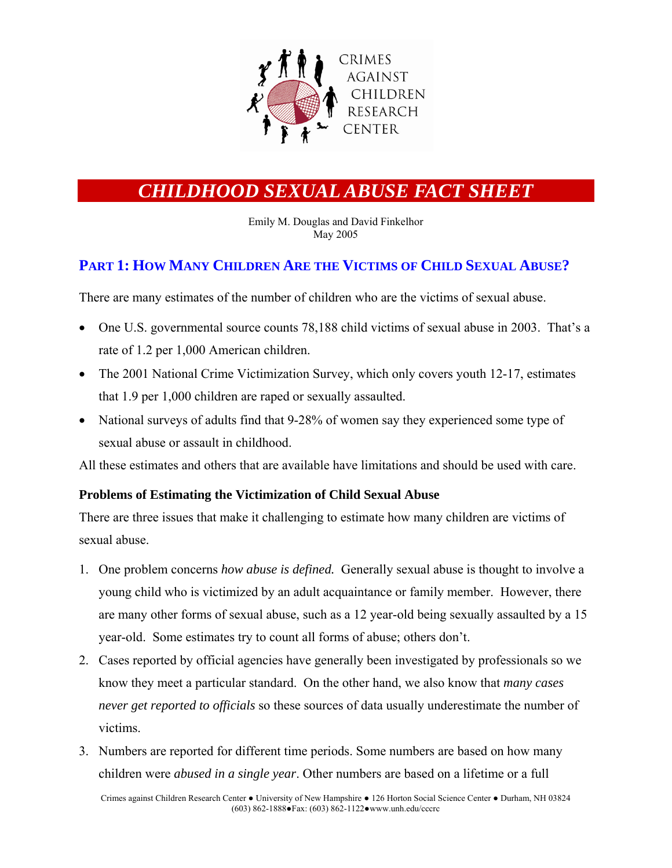

# *CHILDHOOD SEXUAL ABUSE FACT SHEET*

Emily M. Douglas and David Finkelhor May 2005

### **PART 1: HOW MANY CHILDREN ARE THE VICTIMS OF CHILD SEXUAL ABUSE?**

There are many estimates of the number of children who are the victims of sexual abuse.

- One U.S. governmental source counts 78,188 child victims of sexual abuse in 2003. That's a rate of 1.2 per 1,000 American children.
- The 2001 National Crime Victimization Survey, which only covers youth 12-17, estimates that 1.9 per 1,000 children are raped or sexually assaulted.
- National surveys of adults find that 9-28% of women say they experienced some type of sexual abuse or assault in childhood.

All these estimates and others that are available have limitations and should be used with care.

### **Problems of Estimating the Victimization of Child Sexual Abuse**

There are three issues that make it challenging to estimate how many children are victims of sexual abuse.

- 1. One problem concerns *how abuse is defined.* Generally sexual abuse is thought to involve a young child who is victimized by an adult acquaintance or family member. However, there are many other forms of sexual abuse, such as a 12 year-old being sexually assaulted by a 15 year-old. Some estimates try to count all forms of abuse; others don't.
- 2. Cases reported by official agencies have generally been investigated by professionals so we know they meet a particular standard. On the other hand, we also know that *many cases never get reported to officials* so these sources of data usually underestimate the number of victims.
- 3. Numbers are reported for different time periods. Some numbers are based on how many children were *abused in a single year*. Other numbers are based on a lifetime or a full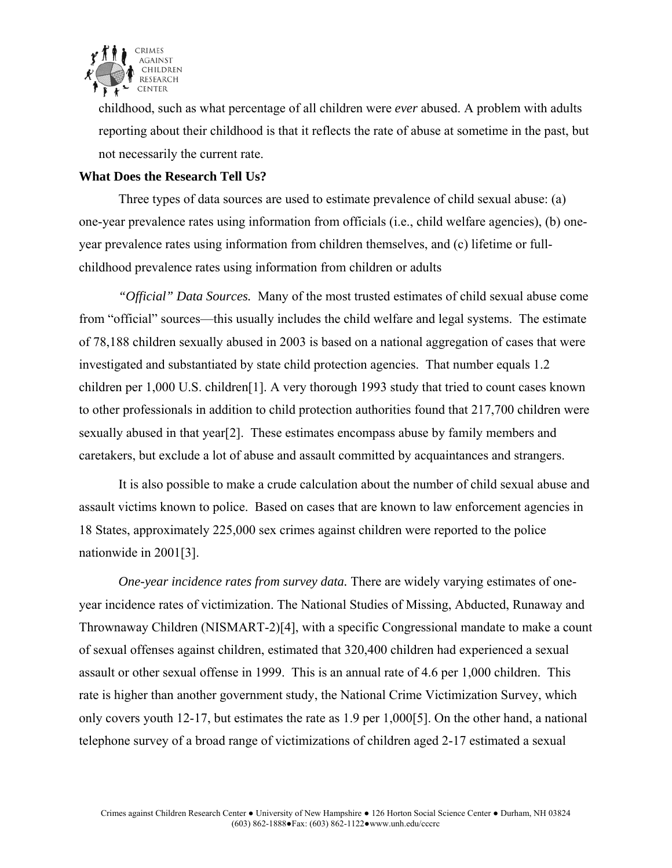

childhood, such as what percentage of all children were *ever* abused. A problem with adults reporting about their childhood is that it reflects the rate of abuse at sometime in the past, but not necessarily the current rate.

### **What Does the Research Tell Us?**

Three types of data sources are used to estimate prevalence of child sexual abuse: (a) one-year prevalence rates using information from officials (i.e., child welfare agencies), (b) oneyear prevalence rates using information from children themselves, and (c) lifetime or fullchildhood prevalence rates using information from children or adults

*"Official" Data Sources.* Many of the most trusted estimates of child sexual abuse come from "official" sources—this usually includes the child welfare and legal systems. The estimate of 78,188 children sexually abused in 2003 is based on a national aggregation of cases that were investigated and substantiated by state child protection agencies. That number equals 1.2 children per 1,000 U.S. children[1]. A very thorough 1993 study that tried to count cases known to other professionals in addition to child protection authorities found that 217,700 children were sexually abused in that year[2]. These estimates encompass abuse by family members and caretakers, but exclude a lot of abuse and assault committed by acquaintances and strangers.

It is also possible to make a crude calculation about the number of child sexual abuse and assault victims known to police. Based on cases that are known to law enforcement agencies in 18 States, approximately 225,000 sex crimes against children were reported to the police nationwide in 2001[3].

*One-year incidence rates from survey data.* There are widely varying estimates of oneyear incidence rates of victimization. The National Studies of Missing, Abducted, Runaway and Thrownaway Children (NISMART-2)[4], with a specific Congressional mandate to make a count of sexual offenses against children, estimated that 320,400 children had experienced a sexual assault or other sexual offense in 1999. This is an annual rate of 4.6 per 1,000 children. This rate is higher than another government study, the National Crime Victimization Survey, which only covers youth 12-17, but estimates the rate as 1.9 per 1,000[5]. On the other hand, a national telephone survey of a broad range of victimizations of children aged 2-17 estimated a sexual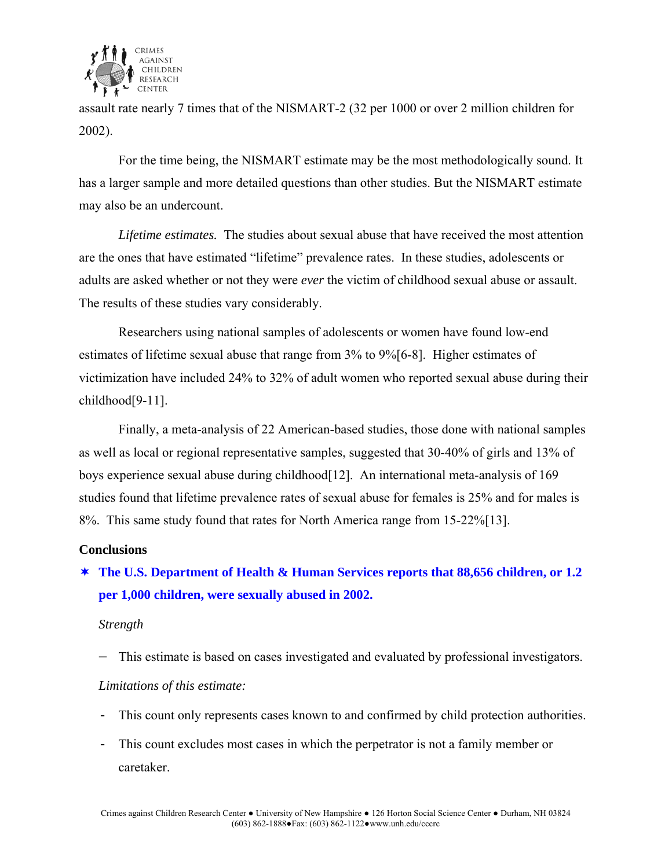

assault rate nearly 7 times that of the NISMART-2 (32 per 1000 or over 2 million children for 2002).

 For the time being, the NISMART estimate may be the most methodologically sound. It has a larger sample and more detailed questions than other studies. But the NISMART estimate may also be an undercount.

*Lifetime estimates.* The studies about sexual abuse that have received the most attention are the ones that have estimated "lifetime" prevalence rates. In these studies, adolescents or adults are asked whether or not they were *ever* the victim of childhood sexual abuse or assault. The results of these studies vary considerably.

Researchers using national samples of adolescents or women have found low-end estimates of lifetime sexual abuse that range from 3% to 9%[6-8]. Higher estimates of victimization have included 24% to 32% of adult women who reported sexual abuse during their childhood[9-11].

Finally, a meta-analysis of 22 American-based studies, those done with national samples as well as local or regional representative samples, suggested that 30-40% of girls and 13% of boys experience sexual abuse during childhood[12]. An international meta-analysis of 169 studies found that lifetime prevalence rates of sexual abuse for females is 25% and for males is 8%. This same study found that rates for North America range from 15-22%[13].

### **Conclusions**

 **The U.S. Department of Health & Human Services reports that 88,656 children, or 1.2 per 1,000 children, were sexually abused in 2002.** 

#### *Strength*

− This estimate is based on cases investigated and evaluated by professional investigators.

### *Limitations of this estimate:*

- This count only represents cases known to and confirmed by child protection authorities.
- This count excludes most cases in which the perpetrator is not a family member or caretaker.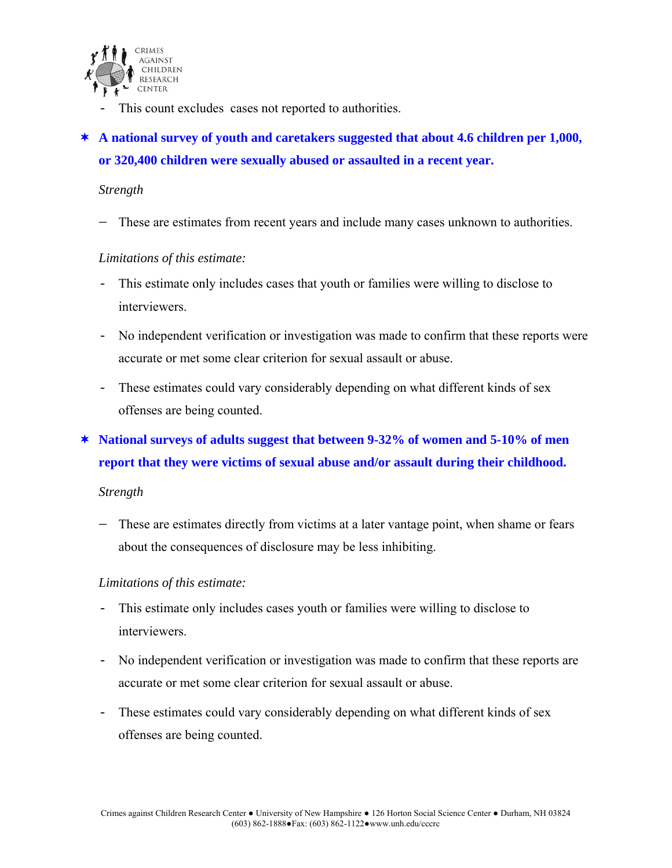

- This count excludes cases not reported to authorities.

# **A national survey of youth and caretakers suggested that about 4.6 children per 1,000, or 320,400 children were sexually abused or assaulted in a recent year.**

### *Strength*

− These are estimates from recent years and include many cases unknown to authorities.

#### *Limitations of this estimate:*

- This estimate only includes cases that youth or families were willing to disclose to interviewers.
- No independent verification or investigation was made to confirm that these reports were accurate or met some clear criterion for sexual assault or abuse.
- These estimates could vary considerably depending on what different kinds of sex offenses are being counted.

## **National surveys of adults suggest that between 9-32% of women and 5-10% of men report that they were victims of sexual abuse and/or assault during their childhood.**

### *Strength*

− These are estimates directly from victims at a later vantage point, when shame or fears about the consequences of disclosure may be less inhibiting.

### *Limitations of this estimate:*

- This estimate only includes cases youth or families were willing to disclose to interviewers.
- No independent verification or investigation was made to confirm that these reports are accurate or met some clear criterion for sexual assault or abuse.
- These estimates could vary considerably depending on what different kinds of sex offenses are being counted.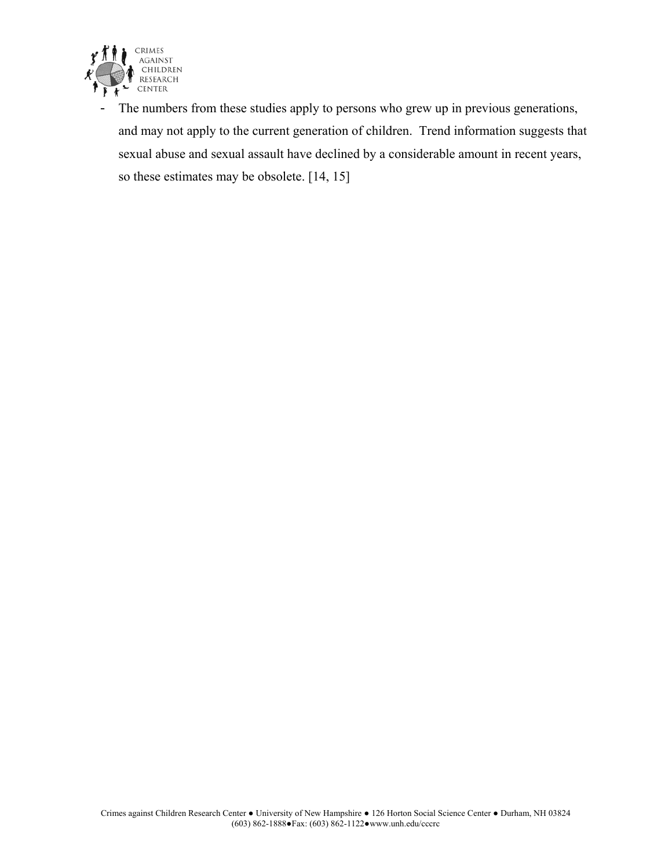

- The numbers from these studies apply to persons who grew up in previous generations, and may not apply to the current generation of children. Trend information suggests that sexual abuse and sexual assault have declined by a considerable amount in recent years, so these estimates may be obsolete. [14, 15]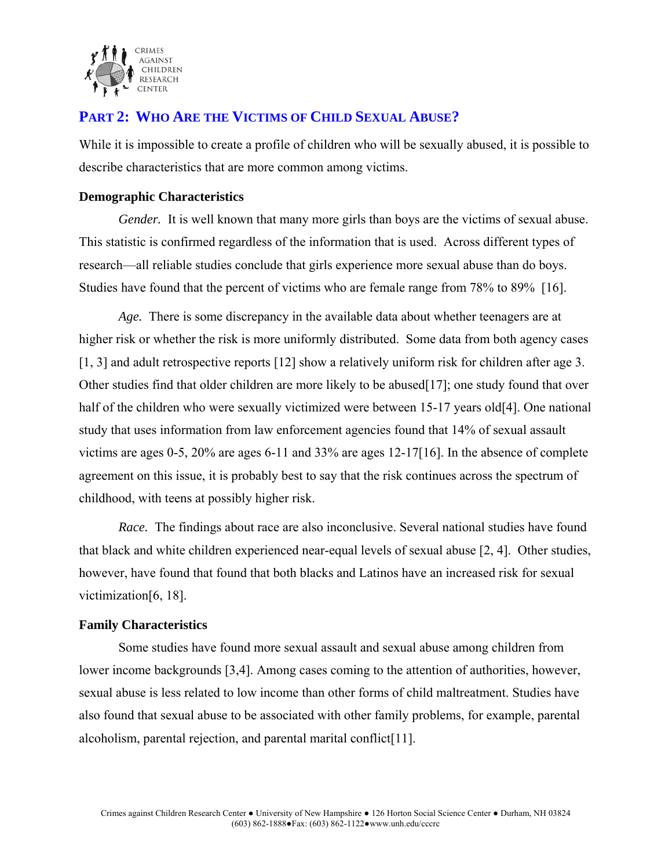

### **PART 2: WHO ARE THE VICTIMS OF CHILD SEXUAL ABUSE?**

While it is impossible to create a profile of children who will be sexually abused, it is possible to describe characteristics that are more common among victims.

### **Demographic Characteristics**

*Gender.* It is well known that many more girls than boys are the victims of sexual abuse. This statistic is confirmed regardless of the information that is used. Across different types of research—all reliable studies conclude that girls experience more sexual abuse than do boys. Studies have found that the percent of victims who are female range from 78% to 89% [16].

*Age.* There is some discrepancy in the available data about whether teenagers are at higher risk or whether the risk is more uniformly distributed. Some data from both agency cases [1, 3] and adult retrospective reports [12] show a relatively uniform risk for children after age 3. Other studies find that older children are more likely to be abused[17]; one study found that over half of the children who were sexually victimized were between 15-17 years old[4]. One national study that uses information from law enforcement agencies found that 14% of sexual assault victims are ages 0-5, 20% are ages 6-11 and 33% are ages 12-17[16]. In the absence of complete agreement on this issue, it is probably best to say that the risk continues across the spectrum of childhood, with teens at possibly higher risk.

*Race.* The findings about race are also inconclusive. Several national studies have found that black and white children experienced near-equal levels of sexual abuse [2, 4]. Other studies, however, have found that found that both blacks and Latinos have an increased risk for sexual victimization[6, 18].

### **Family Characteristics**

Some studies have found more sexual assault and sexual abuse among children from lower income backgrounds [3,4]. Among cases coming to the attention of authorities, however, sexual abuse is less related to low income than other forms of child maltreatment. Studies have also found that sexual abuse to be associated with other family problems, for example, parental alcoholism, parental rejection, and parental marital conflict[11].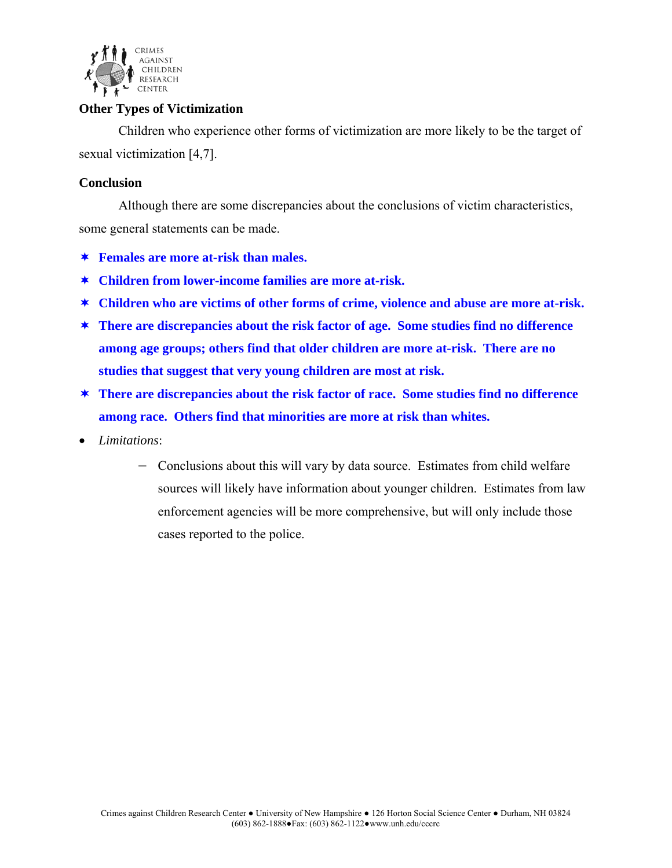

### **Other Types of Victimization**

Children who experience other forms of victimization are more likely to be the target of sexual victimization [4,7].

#### **Conclusion**

Although there are some discrepancies about the conclusions of victim characteristics, some general statements can be made.

- **Females are more at-risk than males.**
- **Children from lower-income families are more at-risk.**
- **Children who are victims of other forms of crime, violence and abuse are more at-risk.**
- **There are discrepancies about the risk factor of age. Some studies find no difference among age groups; others find that older children are more at-risk. There are no studies that suggest that very young children are most at risk.**
- **There are discrepancies about the risk factor of race. Some studies find no difference among race. Others find that minorities are more at risk than whites.**
- *Limitations*:
	- − Conclusions about this will vary by data source. Estimates from child welfare sources will likely have information about younger children. Estimates from law enforcement agencies will be more comprehensive, but will only include those cases reported to the police.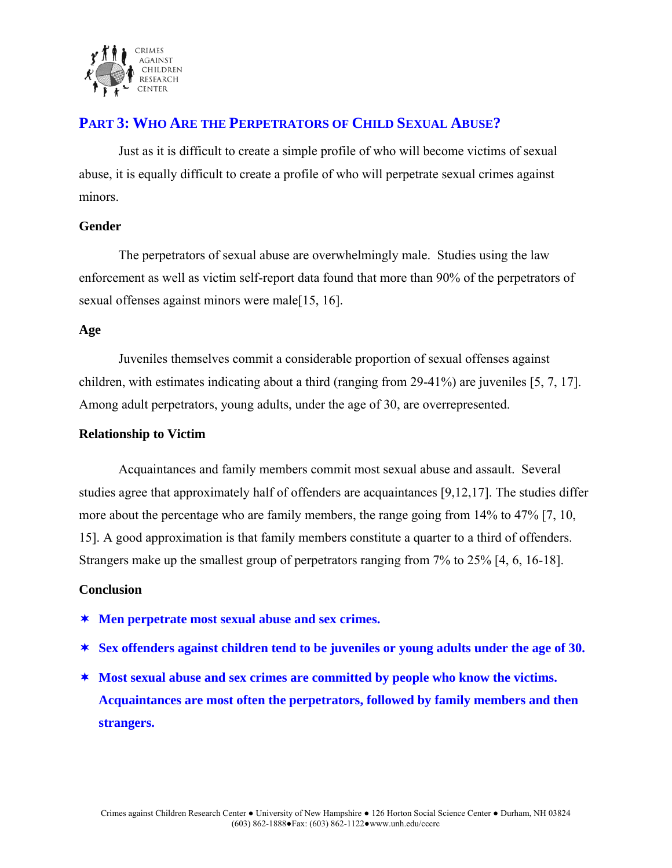

### **PART 3: WHO ARE THE PERPETRATORS OF CHILD SEXUAL ABUSE?**

 Just as it is difficult to create a simple profile of who will become victims of sexual abuse, it is equally difficult to create a profile of who will perpetrate sexual crimes against minors.

### **Gender**

 The perpetrators of sexual abuse are overwhelmingly male. Studies using the law enforcement as well as victim self-report data found that more than 90% of the perpetrators of sexual offenses against minors were male[15, 16].

### **Age**

Juveniles themselves commit a considerable proportion of sexual offenses against children, with estimates indicating about a third (ranging from 29-41%) are juveniles [5, 7, 17]. Among adult perpetrators, young adults, under the age of 30, are overrepresented.

### **Relationship to Victim**

 Acquaintances and family members commit most sexual abuse and assault. Several studies agree that approximately half of offenders are acquaintances [9,12,17]. The studies differ more about the percentage who are family members, the range going from 14% to 47% [7, 10, 15]. A good approximation is that family members constitute a quarter to a third of offenders. Strangers make up the smallest group of perpetrators ranging from 7% to 25% [4, 6, 16-18].

### **Conclusion**

- **Men perpetrate most sexual abuse and sex crimes.**
- **Sex offenders against children tend to be juveniles or young adults under the age of 30.**
- **Most sexual abuse and sex crimes are committed by people who know the victims. Acquaintances are most often the perpetrators, followed by family members and then strangers.**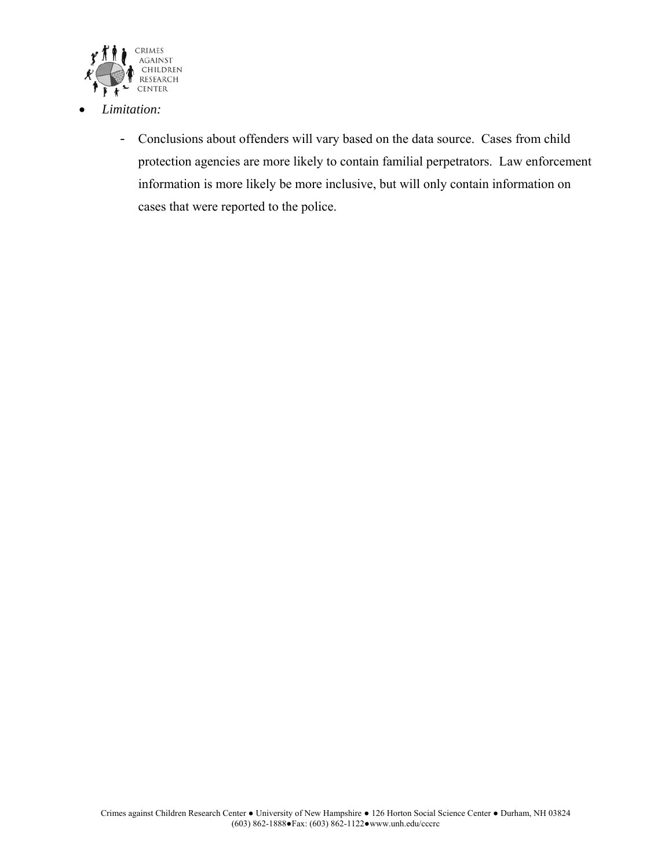

- *Limitation:*
	- Conclusions about offenders will vary based on the data source. Cases from child protection agencies are more likely to contain familial perpetrators. Law enforcement information is more likely be more inclusive, but will only contain information on cases that were reported to the police.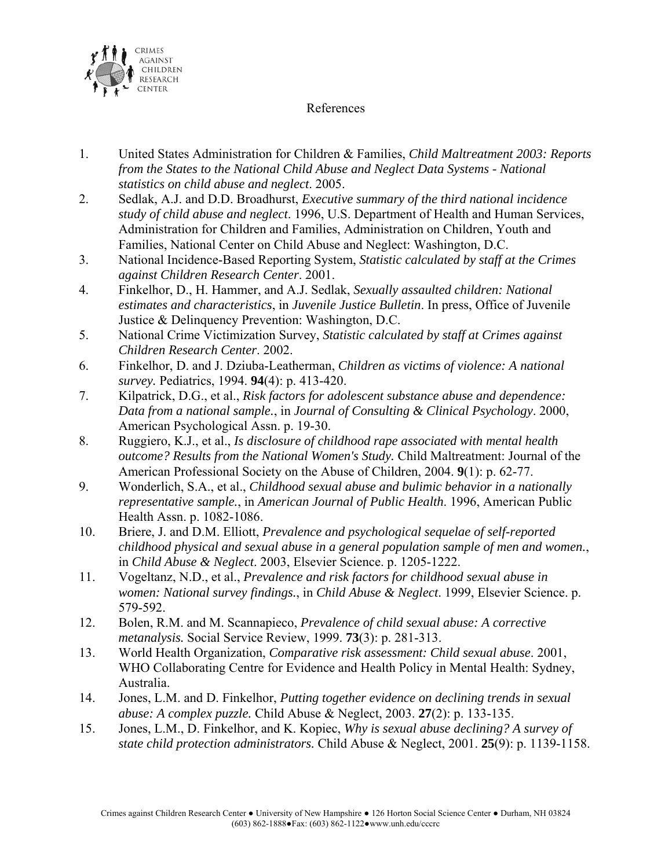

### References

- 1. United States Administration for Children & Families, *Child Maltreatment 2003: Reports from the States to the National Child Abuse and Neglect Data Systems - National statistics on child abuse and neglect*. 2005.
- 2. Sedlak, A.J. and D.D. Broadhurst, *Executive summary of the third national incidence study of child abuse and neglect*. 1996, U.S. Department of Health and Human Services, Administration for Children and Families, Administration on Children, Youth and Families, National Center on Child Abuse and Neglect: Washington, D.C.
- 3. National Incidence-Based Reporting System, *Statistic calculated by staff at the Crimes against Children Research Center*. 2001.
- 4. Finkelhor, D., H. Hammer, and A.J. Sedlak, *Sexually assaulted children: National estimates and characteristics*, in *Juvenile Justice Bulletin*. In press, Office of Juvenile Justice & Delinquency Prevention: Washington, D.C.
- 5. National Crime Victimization Survey, *Statistic calculated by staff at Crimes against Children Research Center*. 2002.
- 6. Finkelhor, D. and J. Dziuba-Leatherman, *Children as victims of violence: A national survey.* Pediatrics, 1994. **94**(4): p. 413-420.
- 7. Kilpatrick, D.G., et al., *Risk factors for adolescent substance abuse and dependence: Data from a national sample.*, in *Journal of Consulting & Clinical Psychology*. 2000, American Psychological Assn. p. 19-30.
- 8. Ruggiero, K.J., et al., *Is disclosure of childhood rape associated with mental health outcome? Results from the National Women's Study.* Child Maltreatment: Journal of the American Professional Society on the Abuse of Children, 2004. **9**(1): p. 62-77.
- 9. Wonderlich, S.A., et al., *Childhood sexual abuse and bulimic behavior in a nationally representative sample.*, in *American Journal of Public Health*. 1996, American Public Health Assn. p. 1082-1086.
- 10. Briere, J. and D.M. Elliott, *Prevalence and psychological sequelae of self-reported childhood physical and sexual abuse in a general population sample of men and women.*, in *Child Abuse & Neglect*. 2003, Elsevier Science. p. 1205-1222.
- 11. Vogeltanz, N.D., et al., *Prevalence and risk factors for childhood sexual abuse in women: National survey findings.*, in *Child Abuse & Neglect*. 1999, Elsevier Science. p. 579-592.
- 12. Bolen, R.M. and M. Scannapieco, *Prevalence of child sexual abuse: A corrective metanalysis.* Social Service Review, 1999. **73**(3): p. 281-313.
- 13. World Health Organization, *Comparative risk assessment: Child sexual abuse*. 2001, WHO Collaborating Centre for Evidence and Health Policy in Mental Health: Sydney, Australia.
- 14. Jones, L.M. and D. Finkelhor, *Putting together evidence on declining trends in sexual abuse: A complex puzzle.* Child Abuse & Neglect, 2003. **27**(2): p. 133-135.
- 15. Jones, L.M., D. Finkelhor, and K. Kopiec, *Why is sexual abuse declining? A survey of state child protection administrators.* Child Abuse & Neglect, 2001. **25**(9): p. 1139-1158.